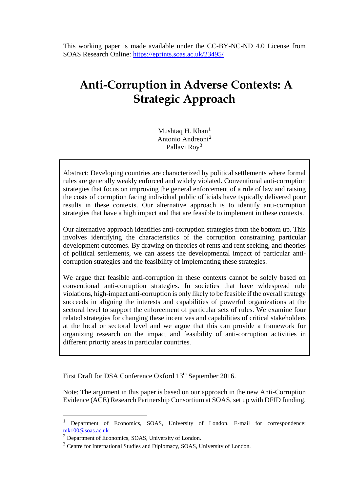This working paper is made available under the CC-BY-NC-ND 4.0 License from SOAS Research Online:<https://eprints.soas.ac.uk/23495/>

# **Anti-Corruption in Adverse Contexts: A Strategic Approach**

Mushtaq H. Khan $<sup>1</sup>$  $<sup>1</sup>$  $<sup>1</sup>$ </sup> Antonio Andreoni<sup>[2](#page-0-1)</sup> Pallavi Roy<sup>[3](#page-0-2)</sup>

Abstract: Developing countries are characterized by political settlements where formal rules are generally weakly enforced and widely violated. Conventional anti-corruption strategies that focus on improving the general enforcement of a rule of law and raising the costs of corruption facing individual public officials have typically delivered poor results in these contexts. Our alternative approach is to identify anti-corruption strategies that have a high impact and that are feasible to implement in these contexts.

Our alternative approach identifies anti-corruption strategies from the bottom up. This involves identifying the characteristics of the corruption constraining particular development outcomes. By drawing on theories of rents and rent seeking, and theories of political settlements, we can assess the developmental impact of particular anticorruption strategies and the feasibility of implementing these strategies.

We argue that feasible anti-corruption in these contexts cannot be solely based on conventional anti-corruption strategies. In societies that have widespread rule violations, high-impact anti-corruption is only likely to be feasible if the overall strategy succeeds in aligning the interests and capabilities of powerful organizations at the sectoral level to support the enforcement of particular sets of rules. We examine four related strategies for changing these incentives and capabilities of critical stakeholders at the local or sectoral level and we argue that this can provide a framework for organizing research on the impact and feasibility of anti-corruption activities in different priority areas in particular countries.

First Draft for DSA Conference Oxford 13<sup>th</sup> September 2016.

Note: The argument in this paper is based on our approach in the new Anti-Corruption Evidence (ACE) Research Partnership Consortium at SOAS, set up with DFID funding.

<span id="page-0-0"></span> <sup>1</sup> Department of Economics, SOAS, University of London. E-mail for correspondence:  $\frac{mk100@soas.ac.uk}{2}$  Department of Economics, SOAS, University of London.

<span id="page-0-2"></span><span id="page-0-1"></span><sup>&</sup>lt;sup>3</sup> Centre for International Studies and Diplomacy, SOAS, University of London.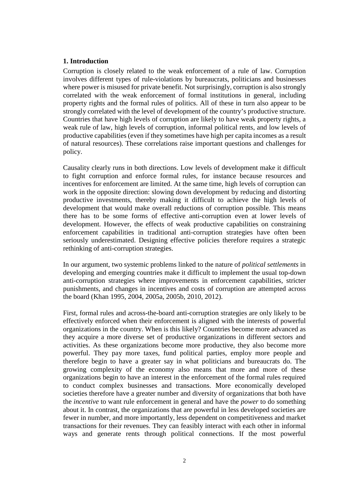#### **1. Introduction**

Corruption is closely related to the weak enforcement of a rule of law. Corruption involves different types of rule-violations by bureaucrats, politicians and businesses where power is misused for private benefit. Not surprisingly, corruption is also strongly correlated with the weak enforcement of formal institutions in general, including property rights and the formal rules of politics. All of these in turn also appear to be strongly correlated with the level of development of the country's productive structure. Countries that have high levels of corruption are likely to have weak property rights, a weak rule of law, high levels of corruption, informal political rents, and low levels of productive capabilities (even if they sometimes have high per capita incomes as a result of natural resources). These correlations raise important questions and challenges for policy.

Causality clearly runs in both directions. Low levels of development make it difficult to fight corruption and enforce formal rules, for instance because resources and incentives for enforcement are limited. At the same time, high levels of corruption can work in the opposite direction: slowing down development by reducing and distorting productive investments, thereby making it difficult to achieve the high levels of development that would make overall reductions of corruption possible. This means there has to be some forms of effective anti-corruption even at lower levels of development. However, the effects of weak productive capabilities on constraining enforcement capabilities in traditional anti-corruption strategies have often been seriously underestimated. Designing effective policies therefore requires a strategic rethinking of anti-corruption strategies.

In our argument, two systemic problems linked to the nature of *political settlements* in developing and emerging countries make it difficult to implement the usual top-down anti-corruption strategies where improvements in enforcement capabilities, stricter punishments, and changes in incentives and costs of corruption are attempted across the board (Khan 1995, 2004, 2005a, 2005b, 2010, 2012).

First, formal rules and across-the-board anti-corruption strategies are only likely to be effectively enforced when their enforcement is aligned with the interests of powerful organizations in the country. When is this likely? Countries become more advanced as they acquire a more diverse set of productive organizations in different sectors and activities. As these organizations become more productive, they also become more powerful. They pay more taxes, fund political parties, employ more people and therefore begin to have a greater say in what politicians and bureaucrats do. The growing complexity of the economy also means that more and more of these organizations begin to have an interest in the enforcement of the formal rules required to conduct complex businesses and transactions. More economically developed societies therefore have a greater number and diversity of organizations that both have the *incentive* to want rule enforcement in general and have the *power* to do something about it. In contrast, the organizations that are powerful in less developed societies are fewer in number, and more importantly, less dependent on competitiveness and market transactions for their revenues. They can feasibly interact with each other in informal ways and generate rents through political connections. If the most powerful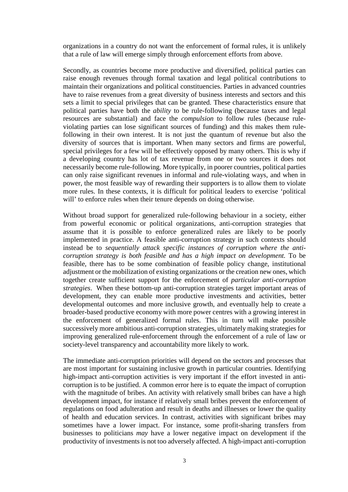organizations in a country do not want the enforcement of formal rules, it is unlikely that a rule of law will emerge simply through enforcement efforts from above.

Secondly, as countries become more productive and diversified, political parties can raise enough revenues through formal taxation and legal political contributions to maintain their organizations and political constituencies. Parties in advanced countries have to raise revenues from a great diversity of business interests and sectors and this sets a limit to special privileges that can be granted. These characteristics ensure that political parties have both the *ability* to be rule-following (because taxes and legal resources are substantial) and face the *compulsion* to follow rules (because ruleviolating parties can lose significant sources of funding) and this makes them rulefollowing in their own interest. It is not just the quantum of revenue but also the diversity of sources that is important. When many sectors and firms are powerful, special privileges for a few will be effectively opposed by many others. This is why if a developing country has lot of tax revenue from one or two sources it does not necessarily become rule-following. More typically, in poorer countries, political parties can only raise significant revenues in informal and rule-violating ways, and when in power, the most feasible way of rewarding their supporters is to allow them to violate more rules. In these contexts, it is difficult for political leaders to exercise 'political will' to enforce rules when their tenure depends on doing otherwise.

Without broad support for generalized rule-following behaviour in a society, either from powerful economic or political organizations, anti-corruption strategies that assume that it is possible to enforce generalized rules are likely to be poorly implemented in practice. A feasible anti-corruption strategy in such contexts should instead be to *sequentially attack specific instances of corruption where the anticorruption strategy is both feasible and has a high impact on development.* To be feasible, there has to be some combination of feasible policy change, institutional adjustment or the mobilization of existing organizations or the creation new ones, which together create sufficient support for the enforcement of *particular anti-corruption strategies*. When these bottom-up anti-corruption strategies target important areas of development, they can enable more productive investments and activities, better developmental outcomes and more inclusive growth, and eventually help to create a broader-based productive economy with more power centres with a growing interest in the enforcement of generalized formal rules. This in turn will make possible successively more ambitious anti-corruption strategies, ultimately making strategies for improving generalized rule-enforcement through the enforcement of a rule of law or society-level transparency and accountability more likely to work.

The immediate anti-corruption priorities will depend on the sectors and processes that are most important for sustaining inclusive growth in particular countries. Identifying high-impact anti-corruption activities is very important if the effort invested in anticorruption is to be justified. A common error here is to equate the impact of corruption with the magnitude of bribes. An activity with relatively small bribes can have a high development impact, for instance if relatively small bribes prevent the enforcement of regulations on food adulteration and result in deaths and illnesses or lower the quality of health and education services. In contrast, activities with significant bribes may sometimes have a lower impact. For instance, some profit-sharing transfers from businesses to politicians *may* have a lower negative impact on development if the productivity of investments is not too adversely affected. A high-impact anti-corruption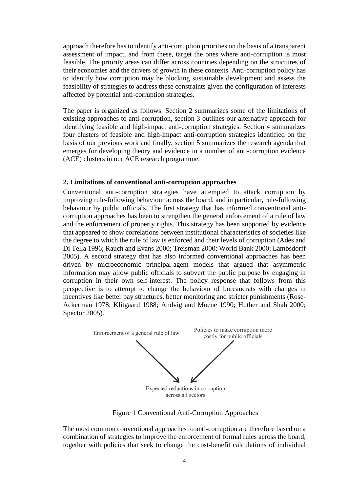approach therefore has to identify anti-corruption priorities on the basis of a transparent assessment of impact, and from these, target the ones where anti-corruption is most feasible. The priority areas can differ across countries depending on the structures of their economies and the drivers of growth in these contexts. Anti-corruption policy has to identify how corruption may be blocking sustainable development and assess the feasibility of strategies to address these constraints given the configuration of interests affected by potential anti-corruption strategies.

The paper is organized as follows. Section 2 summarizes some of the limitations of existing approaches to anti-corruption, section 3 outlines our alternative approach for identifying feasible and high-impact anti-corruption strategies. Section 4 summarizes four clusters of feasible and high-impact anti-corruption strategies identified on the basis of our previous work and finally, section 5 summarizes the research agenda that emerges for developing theory and evidence in a number of anti-corruption evidence (ACE) clusters in our ACE research programme.

#### **2. Limitations of conventional anti-corruption approaches**

Conventional anti-corruption strategies have attempted to attack corruption by improving rule-following behaviour across the board, and in particular, rule-following behaviour by public officials. The first strategy that has informed conventional anticorruption approaches has been to strengthen the general enforcement of a rule of law and the enforcement of property rights. This strategy has been supported by evidence that appeared to show correlations between institutional characteristics of societies like the degree to which the rule of law is enforced and their levels of corruption (Ades and Di Tella 1996; Rauch and Evans 2000; Treisman 2000; World Bank 2000; Lambsdorff 2005). A second strategy that has also informed conventional approaches has been driven by microeconomic principal-agent models that argued that asymmetric information may allow public officials to subvert the public purpose by engaging in corruption in their own self-interest. The policy response that follows from this perspective is to attempt to change the behaviour of bureaucrats with changes in incentives like better pay structures, better monitoring and stricter punishments (Rose-Ackerman 1978; Klitgaard 1988; Andvig and Moene 1990; Huther and Shah 2000; Spector 2005).



<span id="page-3-0"></span>Figure 1 Conventional Anti-Corruption Approaches

The most common conventional approaches to anti-corruption are therefore based on a combination of strategies to improve the enforcement of formal rules across the board, together with policies that seek to change the cost-benefit calculations of individual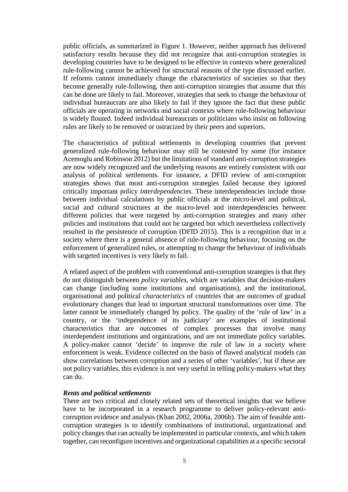public officials, as summarized in [Figure 1.](#page-3-0) However, neither approach has delivered satisfactory results because they did not recognize that anti-corruption strategies in developing countries have to be designed to be effective in contexts where generalized rule-following cannot be achieved for structural reasons of the type discussed earlier. If reforms cannot immediately change the characteristics of societies so that they become generally rule-following, then anti-corruption strategies that assume that this can be done are likely to fail. Moreover, strategies that seek to change the behaviour of individual bureaucrats are also likely to fail if they ignore the fact that these public officials are operating in networks and social contexts where rule-following behaviour is widely flouted. Indeed individual bureaucrats or politicians who insist on following rules are likely to be removed or ostracized by their peers and superiors.

The characteristics of political settlements in developing countries that prevent generalized rule-following behaviour may still be contested by some (for instance Acemoglu and Robinson 2012) but the limitations of standard anti-corruption strategies are now widely recognized and the underlying reasons are entirely consistent with our analysis of political settlements. For instance, a DFID review of anti-corruption strategies shows that most anti-corruption strategies failed because they ignored critically important policy *interdependencies.* These interdependencies include those between individual calculations by public officials at the micro-level and political, social and cultural structures at the macro-level and interdependencies between different policies that were targeted by anti-corruption strategies and many other policies and institutions that could not be targeted but which nevertheless collectively resulted in the persistence of corruption (DFID 2015). This is a recognition that in a society where there is a general absence of rule-following behaviour, focusing on the enforcement of generalized rules, or attempting to change the behaviour of individuals with targeted incentives is very likely to fail.

A related aspect of the problem with conventional anti-corruption strategies is that they do not distinguish between *policy variables*, which are variables that decision-makers can change (including some institutions and organisations), and the institutional, organisational and political *characteristics* of countries that are outcomes of gradual evolutionary changes that lead to important structural transformations over time. The latter cannot be immediately changed by policy. The quality of the 'rule of law' in a country, or the 'independence of its judiciary' are examples of institutional characteristics that are outcomes of complex processes that involve many interdependent institutions and organizations, and are not immediate policy variables. A policy-maker cannot 'decide' to improve the rule of law in a society where enforcement is weak. Evidence collected on the basis of flawed analytical models can show correlations between corruption and a series of other 'variables', but if these are not policy variables, this evidence is not very useful in telling policy-makers what they can do.

#### *Rents and political settlements*

There are two critical and closely related sets of theoretical insights that we believe have to be incorporated in a research programme to deliver policy-relevant anticorruption evidence and analysis (Khan 2002, 2006a, 2006b). The aim of feasible anticorruption strategies is to identify combinations of institutional, organizational and policy changes that can actually be implemented in particular contexts, and which taken together, can reconfigure incentives and organizational capabilities at a specific sectoral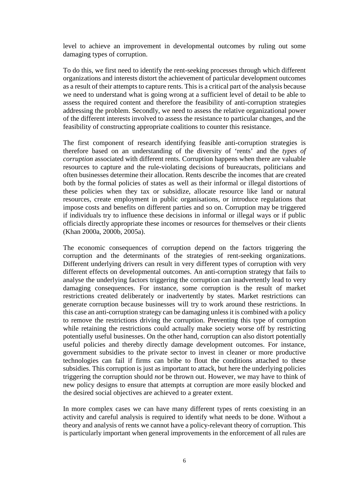level to achieve an improvement in developmental outcomes by ruling out some damaging types of corruption.

To do this, we first need to identify the rent-seeking processes through which different organizations and interests distort the achievement of particular development outcomes as a result of their attempts to capture rents. This is a critical part of the analysis because we need to understand what is going wrong at a sufficient level of detail to be able to assess the required content and therefore the feasibility of anti-corruption strategies addressing the problem. Secondly, we need to assess the relative organizational power of the different interests involved to assess the resistance to particular changes, and the feasibility of constructing appropriate coalitions to counter this resistance.

The first component of research identifying feasible anti-corruption strategies is therefore based on an understanding of the diversity of 'rents' and the *types of corruption* associated with different rents. Corruption happens when there are valuable resources to capture and the rule-violating decisions of bureaucrats, politicians and often businesses determine their allocation. Rents describe the incomes that are created both by the formal policies of states as well as their informal or illegal distortions of these policies when they tax or subsidize, allocate resource like land or natural resources, create employment in public organisations, or introduce regulations that impose costs and benefits on different parties and so on. Corruption may be triggered if individuals try to influence these decisions in informal or illegal ways or if public officials directly appropriate these incomes or resources for themselves or their clients (Khan 2000a, 2000b, 2005a).

The economic consequences of corruption depend on the factors triggering the corruption and the determinants of the strategies of rent-seeking organizations. Different underlying drivers can result in very different types of corruption with very different effects on developmental outcomes. An anti-corruption strategy that fails to analyse the underlying factors triggering the corruption can inadvertently lead to very damaging consequences. For instance, some corruption is the result of market restrictions created deliberately or inadvertently by states. Market restrictions can generate corruption because businesses will try to work around these restrictions. In this case an anti-corruption strategy can be damaging unless it is combined with a policy to remove the restrictions driving the corruption. Preventing this type of corruption while retaining the restrictions could actually make society worse off by restricting potentially useful businesses. On the other hand, corruption can also distort potentially useful policies and thereby directly damage development outcomes. For instance, government subsidies to the private sector to invest in cleaner or more productive technologies can fail if firms can bribe to flout the conditions attached to these subsidies. This corruption is just as important to attack, but here the underlying policies triggering the corruption should *not* be thrown out. However, we may have to think of new policy designs to ensure that attempts at corruption are more easily blocked and the desired social objectives are achieved to a greater extent.

In more complex cases we can have many different types of rents coexisting in an activity and careful analysis is required to identify what needs to be done. Without a theory and analysis of rents we cannot have a policy-relevant theory of corruption. This is particularly important when general improvements in the enforcement of all rules are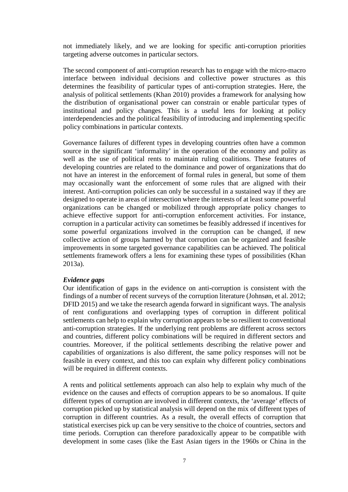not immediately likely, and we are looking for specific anti-corruption priorities targeting adverse outcomes in particular sectors.

The second component of anti-corruption research has to engage with the micro-macro interface between individual decisions and collective power structures as this determines the feasibility of particular types of anti-corruption strategies. Here, the analysis of political settlements (Khan 2010) provides a framework for analysing how the distribution of organisational power can constrain or enable particular types of institutional and policy changes. This is a useful lens for looking at policy interdependencies and the political feasibility of introducing and implementing specific policy combinations in particular contexts.

Governance failures of different types in developing countries often have a common source in the significant 'informality' in the operation of the economy and polity as well as the use of political rents to maintain ruling coalitions. These features of developing countries are related to the dominance and power of organizations that do not have an interest in the enforcement of formal rules in general, but some of them may occasionally want the enforcement of some rules that are aligned with their interest. Anti-corruption policies can only be successful in a sustained way if they are designed to operate in areas of intersection where the interests of at least some powerful organizations can be changed or mobilized through appropriate policy changes to achieve effective support for anti-corruption enforcement activities. For instance, corruption in a particular activity can sometimes be feasibly addressed if incentives for some powerful organizations involved in the corruption can be changed, if new collective action of groups harmed by that corruption can be organized and feasible improvements in some targeted governance capabilities can be achieved. The political settlements framework offers a lens for examining these types of possibilities (Khan 2013a).

## *Evidence gaps*

Our identification of gaps in the evidence on anti-corruption is consistent with the findings of a number of recent surveys of the corruption literature (Johnsøn, et al. 2012; DFID 2015) and we take the research agenda forward in significant ways. The analysis of rent configurations and overlapping types of corruption in different political settlements can help to explain why corruption appears to be so resilient to conventional anti-corruption strategies. If the underlying rent problems are different across sectors and countries, different policy combinations will be required in different sectors and countries. Moreover, if the political settlements describing the relative power and capabilities of organizations is also different, the same policy responses will not be feasible in every context, and this too can explain why different policy combinations will be required in different contexts.

A rents and political settlements approach can also help to explain why much of the evidence on the causes and effects of corruption appears to be so anomalous. If quite different types of corruption are involved in different contexts, the 'average' effects of corruption picked up by statistical analysis will depend on the mix of different types of corruption in different countries. As a result, the overall effects of corruption that statistical exercises pick up can be very sensitive to the choice of countries, sectors and time periods. Corruption can therefore paradoxically appear to be compatible with development in some cases (like the East Asian tigers in the 1960s or China in the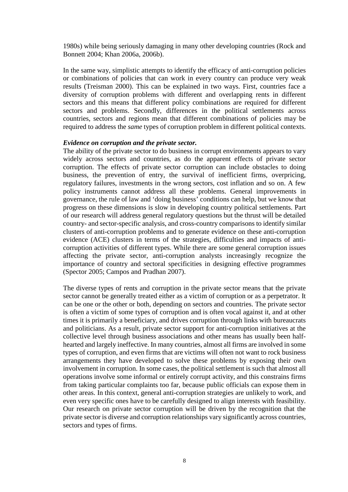1980s) while being seriously damaging in many other developing countries (Rock and Bonnett 2004; Khan 2006a, 2006b).

In the same way, simplistic attempts to identify the efficacy of anti-corruption policies or combinations of policies that can work in every country can produce very weak results (Treisman 2000). This can be explained in two ways. First, countries face a diversity of corruption problems with different and overlapping rents in different sectors and this means that different policy combinations are required for different sectors and problems. Secondly, differences in the political settlements across countries, sectors and regions mean that different combinations of policies may be required to address the *same* types of corruption problem in different political contexts.

#### *Evidence on corruption and the private sector.*

The ability of the private sector to do business in corrupt environments appears to vary widely across sectors and countries, as do the apparent effects of private sector corruption. The effects of private sector corruption can include obstacles to doing business, the prevention of entry, the survival of inefficient firms, overpricing, regulatory failures, investments in the wrong sectors, cost inflation and so on. A few policy instruments cannot address all these problems. General improvements in governance, the rule of law and 'doing business' conditions can help, but we know that progress on these dimensions is slow in developing country political settlements. Part of our research will address general regulatory questions but the thrust will be detailed country- and sector-specific analysis, and cross-country comparisons to identify similar clusters of anti-corruption problems and to generate evidence on these anti-corruption evidence (ACE) clusters in terms of the strategies, difficulties and impacts of anticorruption activities of different types. While there are some general corruption issues affecting the private sector, anti-corruption analysts increasingly recognize the importance of country and sectoral specificities in designing effective programmes (Spector 2005; Campos and Pradhan 2007).

The diverse types of rents and corruption in the private sector means that the private sector cannot be generally treated either as a victim of corruption or as a perpetrator. It can be one or the other or both, depending on sectors and countries. The private sector is often a victim of some types of corruption and is often vocal against it, and at other times it is primarily a beneficiary, and drives corruption through links with bureaucrats and politicians. As a result, private sector support for anti-corruption initiatives at the collective level through business associations and other means has usually been halfhearted and largely ineffective. In many countries, almost all firms are involved in some types of corruption, and even firms that are victims will often not want to rock business arrangements they have developed to solve these problems by exposing their own involvement in corruption. In some cases, the political settlement is such that almost all operations involve some informal or entirely corrupt activity, and this constrains firms from taking particular complaints too far, because public officials can expose them in other areas. In this context, general anti-corruption strategies are unlikely to work, and even very specific ones have to be carefully designed to align interests with feasibility. Our research on private sector corruption will be driven by the recognition that the private sector is diverse and corruption relationships vary significantly across countries, sectors and types of firms.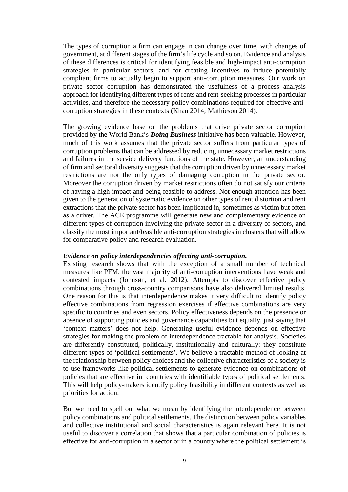The types of corruption a firm can engage in can change over time, with changes of government, at different stages of the firm's life cycle and so on. Evidence and analysis of these differences is critical for identifying feasible and high-impact anti-corruption strategies in particular sectors, and for creating incentives to induce potentially compliant firms to actually begin to support anti-corruption measures. Our work on private sector corruption has demonstrated the usefulness of a process analysis approach for identifying different types of rents and rent-seeking processes in particular activities, and therefore the necessary policy combinations required for effective anticorruption strategies in these contexts (Khan 2014; Mathieson 2014).

The growing evidence base on the problems that drive private sector corruption provided by the World Bank's *Doing Business* initiative has been valuable. However, much of this work assumes that the private sector suffers from particular types of corruption problems that can be addressed by reducing unnecessary market restrictions and failures in the service delivery functions of the state. However, an understanding of firm and sectoral diversity suggests that the corruption driven by unnecessary market restrictions are not the only types of damaging corruption in the private sector. Moreover the corruption driven by market restrictions often do not satisfy our criteria of having a high impact and being feasible to address. Not enough attention has been given to the generation of systematic evidence on other types of rent distortion and rent extractions that the private sector has been implicated in, sometimes as victim but often as a driver. The ACE programme will generate new and complementary evidence on different types of corruption involving the private sector in a diversity of sectors, and classify the most important/feasible anti-corruption strategies in clusters that will allow for comparative policy and research evaluation.

#### *Evidence on policy interdependencies affecting anti-corruption.*

Existing research shows that with the exception of a small number of technical measures like PFM, the vast majority of anti-corruption interventions have weak and contested impacts (Johnsøn, et al. 2012). Attempts to discover effective policy combinations through cross-country comparisons have also delivered limited results. One reason for this is that interdependence makes it very difficult to identify policy effective combinations from regression exercises if effective combinations are very specific to countries and even sectors. Policy effectiveness depends on the presence or absence of supporting policies and governance capabilities but equally, just saying that 'context matters' does not help. Generating useful evidence depends on effective strategies for making the problem of interdependence tractable for analysis. Societies are differently constituted, politically, institutionally and culturally: they constitute different types of 'political settlements'. We believe a tractable method of looking at the relationship between policy choices and the collective characteristics of a society is to use frameworks like political settlements to generate evidence on combinations of policies that are effective in countries with identifiable types of political settlements. This will help policy-makers identify policy feasibility in different contexts as well as priorities for action.

But we need to spell out what we mean by identifying the interdependence between policy combinations and political settlements. The distinction between policy variables and collective institutional and social characteristics is again relevant here. It is not useful to discover a correlation that shows that a particular combination of policies is effective for anti-corruption in a sector or in a country where the political settlement is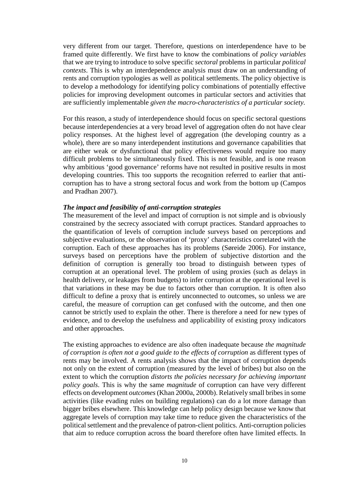very different from our target. Therefore, questions on interdependence have to be framed quite differently. We first have to know the combinations of *policy variables* that we are trying to introduce to solve specific *sectoral* problems in particular *political contexts*. This is why an interdependence analysis must draw on an understanding of rents and corruption typologies as well as political settlements. The policy objective is to develop a methodology for identifying policy combinations of potentially effective policies for improving development outcomes in particular sectors and activities that are sufficiently implementable *given the macro-characteristics of a particular society.*

For this reason, a study of interdependence should focus on specific sectoral questions because interdependencies at a very broad level of aggregation often do not have clear policy responses. At the highest level of aggregation (the developing country as a whole), there are so many interdependent institutions and governance capabilities that are either weak or dysfunctional that policy effectiveness would require too many difficult problems to be simultaneously fixed. This is not feasible, and is one reason why ambitious 'good governance' reforms have not resulted in positive results in most developing countries. This too supports the recognition referred to earlier that anticorruption has to have a strong sectoral focus and work from the bottom up (Campos and Pradhan 2007).

#### *The impact and feasibility of anti-corruption strategies*

The measurement of the level and impact of corruption is not simple and is obviously constrained by the secrecy associated with corrupt practices. Standard approaches to the quantification of levels of corruption include surveys based on perceptions and subjective evaluations, or the observation of 'proxy' characteristics correlated with the corruption. Each of these approaches has its problems (Søreide 2006). For instance, surveys based on perceptions have the problem of subjective distortion and the definition of corruption is generally too broad to distinguish between types of corruption at an operational level. The problem of using proxies (such as delays in health delivery, or leakages from budgets) to infer corruption at the operational level is that variations in these may be due to factors other than corruption. It is often also difficult to define a proxy that is entirely unconnected to outcomes, so unless we are careful, the measure of corruption can get confused with the outcome, and then one cannot be strictly used to explain the other. There is therefore a need for new types of evidence, and to develop the usefulness and applicability of existing proxy indicators and other approaches.

The existing approaches to evidence are also often inadequate because *the magnitude of corruption is often not a good guide to the effects of corruption* as different types of rents may be involved. A rents analysis shows that the impact of corruption depends not only on the extent of corruption (measured by the level of bribes) but also on the extent to which the corruption *distorts the policies necessary for achieving important policy goals*. This is why the same *magnitude* of corruption can have very different effects on development *outcomes*(Khan 2000a, 2000b). Relatively small bribes in some activities (like evading rules on building regulations) can do a lot more damage than bigger bribes elsewhere. This knowledge can help policy design because we know that aggregate levels of corruption may take time to reduce given the characteristics of the political settlement and the prevalence of patron-client politics. Anti-corruption policies that aim to reduce corruption across the board therefore often have limited effects. In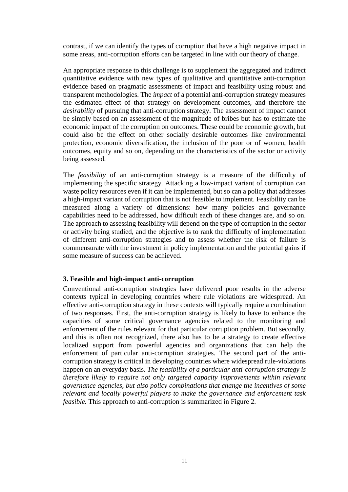contrast, if we can identify the types of corruption that have a high negative impact in some areas, anti-corruption efforts can be targeted in line with our theory of change.

An appropriate response to this challenge is to supplement the aggregated and indirect quantitative evidence with new types of qualitative and quantitative anti-corruption evidence based on pragmatic assessments of impact and feasibility using robust and transparent methodologies. The *impact* of a potential anti-corruption strategy measures the estimated effect of that strategy on development outcomes, and therefore the *desirability* of pursuing that anti-corruption strategy. The assessment of impact cannot be simply based on an assessment of the magnitude of bribes but has to estimate the economic impact of the corruption on outcomes. These could be economic growth, but could also be the effect on other socially desirable outcomes like environmental protection, economic diversification, the inclusion of the poor or of women, health outcomes, equity and so on, depending on the characteristics of the sector or activity being assessed.

The *feasibility* of an anti-corruption strategy is a measure of the difficulty of implementing the specific strategy. Attacking a low-impact variant of corruption can waste policy resources even if it can be implemented, but so can a policy that addresses a high-impact variant of corruption that is not feasible to implement. Feasibility can be measured along a variety of dimensions: how many policies and governance capabilities need to be addressed, how difficult each of these changes are, and so on. The approach to assessing feasibility will depend on the type of corruption in the sector or activity being studied, and the objective is to rank the difficulty of implementation of different anti-corruption strategies and to assess whether the risk of failure is commensurate with the investment in policy implementation and the potential gains if some measure of success can be achieved.

## **3. Feasible and high-impact anti-corruption**

Conventional anti-corruption strategies have delivered poor results in the adverse contexts typical in developing countries where rule violations are widespread. An effective anti-corruption strategy in these contexts will typically require a combination of two responses. First, the anti-corruption strategy is likely to have to enhance the capacities of some critical governance agencies related to the monitoring and enforcement of the rules relevant for that particular corruption problem. But secondly, and this is often not recognized, there also has to be a strategy to create effective localized support from powerful agencies and organizations that can help the enforcement of particular anti-corruption strategies. The second part of the anticorruption strategy is critical in developing countries where widespread rule-violations happen on an everyday basis. *The feasibility of a particular anti-corruption strategy is therefore likely to require not only targeted capacity improvements within relevant governance agencies, but also policy combinations that change the incentives of some relevant and locally powerful players to make the governance and enforcement task feasible.* This approach to anti-corruption is summarized in [Figure 2.](#page-11-0)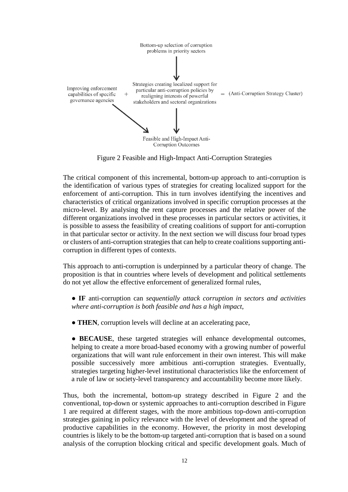

Figure 2 Feasible and High-Impact Anti-Corruption Strategies

<span id="page-11-0"></span>The critical component of this incremental, bottom-up approach to anti-corruption is the identification of various types of strategies for creating localized support for the enforcement of anti-corruption. This in turn involves identifying the incentives and characteristics of critical organizations involved in specific corruption processes at the micro-level. By analysing the rent capture processes and the relative power of the different organizations involved in these processes in particular sectors or activities, it is possible to assess the feasibility of creating coalitions of support for anti-corruption in that particular sector or activity. In the next section we will discuss four broad types or clusters of anti-corruption strategies that can help to create coalitions supporting anticorruption in different types of contexts.

This approach to anti-corruption is underpinned by a particular theory of change. The proposition is that in countries where levels of development and political settlements do not yet allow the effective enforcement of generalized formal rules,

**● IF** anti-corruption can *sequentially attack corruption in sectors and activities where anti-corruption is both feasible and has a high impact*,

- **THEN**, corruption levels will decline at an accelerating pace,
- **BECAUSE**, these targeted strategies will enhance developmental outcomes, helping to create a more broad-based economy with a growing number of powerful organizations that will want rule enforcement in their own interest. This will make possible successively more ambitious anti-corruption strategies. Eventually, strategies targeting higher-level institutional characteristics like the enforcement of a rule of law or society-level transparency and accountability become more likely.

Thus, both the incremental, bottom-up strategy described in [Figure 2](#page-11-0) and the conventional, top-down or systemic approaches to anti-corruption described in [Figure](#page-3-0)  [1](#page-3-0) are required at different stages, with the more ambitious top-down anti-corruption strategies gaining in policy relevance with the level of development and the spread of productive capabilities in the economy. However, the priority in most developing countries is likely to be the bottom-up targeted anti-corruption that is based on a sound analysis of the corruption blocking critical and specific development goals. Much of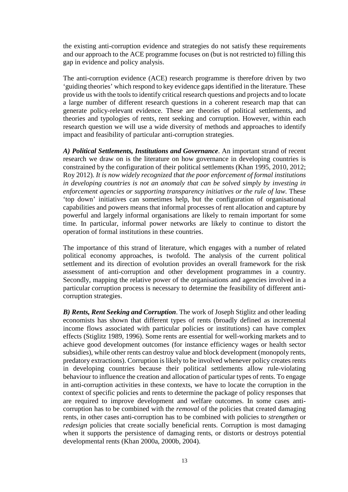the existing anti-corruption evidence and strategies do not satisfy these requirements and our approach to the ACE programme focuses on (but is not restricted to) filling this gap in evidence and policy analysis.

The anti-corruption evidence (ACE) research programme is therefore driven by two 'guiding theories' which respond to key evidence gaps identified in the literature. These provide us with the tools to identify critical research questions and projects and to locate a large number of different research questions in a coherent research map that can generate policy-relevant evidence. These are theories of political settlements, and theories and typologies of rents, rent seeking and corruption. However, within each research question we will use a wide diversity of methods and approaches to identify impact and feasibility of particular anti-corruption strategies.

*A) Political Settlements, Institutions and Governance*. An important strand of recent research we draw on is the literature on how governance in developing countries is constrained by the configuration of their political settlements (Khan 1995, 2010, 2012; Roy 2012). *It is now widely recognized that the poor enforcement of formal institutions in developing countries is not an anomaly that can be solved simply by investing in enforcement agencies or supporting transparency initiatives or the rule of law.* These 'top down' initiatives can sometimes help, but the configuration of organisational capabilities and powers means that informal processes of rent allocation and capture by powerful and largely informal organisations are likely to remain important for some time. In particular, informal power networks are likely to continue to distort the operation of formal institutions in these countries.

The importance of this strand of literature, which engages with a number of related political economy approaches, is twofold. The analysis of the current political settlement and its direction of evolution provides an overall framework for the risk assessment of anti-corruption and other development programmes in a country. Secondly, mapping the relative power of the organisations and agencies involved in a particular corruption process is necessary to determine the feasibility of different anticorruption strategies.

*B) Rents, Rent Seeking and Corruption*. The work of Joseph Stiglitz and other leading economists has shown that different types of rents (broadly defined as incremental income flows associated with particular policies or institutions) can have complex effects (Stiglitz 1989, 1996). Some rents are essential for well-working markets and to achieve good development outcomes (for instance efficiency wages or health sector subsidies), while other rents can destroy value and block development (monopoly rents, predatory extractions). Corruption is likely to be involved whenever policy creates rents in developing countries because their political settlements allow rule-violating behaviour to influence the creation and allocation of particular types of rents. To engage in anti-corruption activities in these contexts, we have to locate the corruption in the context of specific policies and rents to determine the package of policy responses that are required to improve development and welfare outcomes. In some cases anticorruption has to be combined with the *removal* of the policies that created damaging rents, in other cases anti-corruption has to be combined with policies to *strengthen* or *redesign* policies that create socially beneficial rents. Corruption is most damaging when it supports the persistence of damaging rents, or distorts or destroys potential developmental rents (Khan 2000a, 2000b, 2004).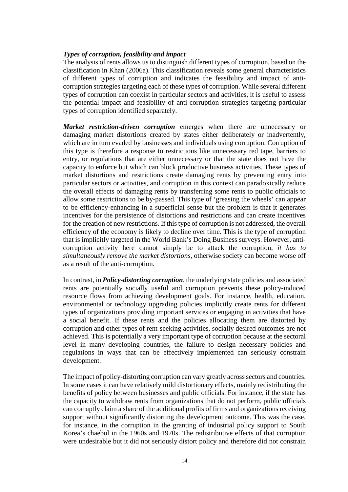#### *Types of corruption, feasibility and impact*

The analysis of rents allows us to distinguish different types of corruption, based on the classification in Khan (2006a). This classification reveals some general characteristics of different types of corruption and indicates the feasibility and impact of anticorruption strategies targeting each of these types of corruption. While several different types of corruption can coexist in particular sectors and activities, it is useful to assess the potential impact and feasibility of anti-corruption strategies targeting particular types of corruption identified separately.

*Market restriction-driven corruption* emerges when there are unnecessary or damaging market distortions created by states either deliberately or inadvertently, which are in turn evaded by businesses and individuals using corruption. Corruption of this type is therefore a response to restrictions like unnecessary red tape, barriers to entry, or regulations that are either unnecessary or that the state does not have the capacity to enforce but which can block productive business activities. These types of market distortions and restrictions create damaging rents by preventing entry into particular sectors or activities, and corruption in this context can paradoxically reduce the overall effects of damaging rents by transferring some rents to public officials to allow some restrictions to be by-passed. This type of 'greasing the wheels' can appear to be efficiency-enhancing in a superficial sense but the problem is that it generates incentives for the persistence of distortions and restrictions and can create incentives for the creation of new restrictions. If this type of corruption is not addressed, the overall efficiency of the economy is likely to decline over time. This is the type of corruption that is implicitly targeted in the World Bank's Doing Business surveys. However, anticorruption activity here cannot simply be to attack the corruption, *it has to simultaneously remove the market distortions*, otherwise society can become worse off as a result of the anti-corruption.

In contrast, in *Policy-distorting corruption*, the underlying state policies and associated rents are potentially socially useful and corruption prevents these policy-induced resource flows from achieving development goals. For instance, health, education, environmental or technology upgrading policies implicitly create rents for different types of organizations providing important services or engaging in activities that have a social benefit. If these rents and the policies allocating them are distorted by corruption and other types of rent-seeking activities, socially desired outcomes are not achieved. This is potentially a very important type of corruption because at the sectoral level in many developing countries, the failure to design necessary policies and regulations in ways that can be effectively implemented can seriously constrain development.

The impact of policy-distorting corruption can vary greatly across sectors and countries. In some cases it can have relatively mild distortionary effects, mainly redistributing the benefits of policy between businesses and public officials. For instance, if the state has the capacity to withdraw rents from organizations that do not perform, public officials can corruptly claim a share of the additional profits of firms and organizations receiving support without significantly distorting the development outcome. This was the case, for instance, in the corruption in the granting of industrial policy support to South Korea's chaebol in the 1960s and 1970s. The redistributive effects of that corruption were undesirable but it did not seriously distort policy and therefore did not constrain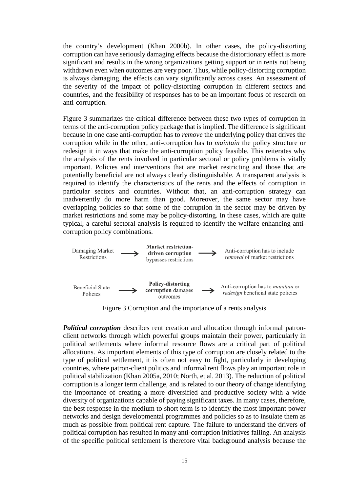the country's development (Khan 2000b). In other cases, the policy-distorting corruption can have seriously damaging effects because the distortionary effect is more significant and results in the wrong organizations getting support or in rents not being withdrawn even when outcomes are very poor. Thus, while policy-distorting corruption is always damaging, the effects can vary significantly across cases. An assessment of the severity of the impact of policy-distorting corruption in different sectors and countries, and the feasibility of responses has to be an important focus of research on anti-corruption.

[Figure 3](#page-14-0) summarizes the critical difference between these two types of corruption in terms of the anti-corruption policy package that is implied. The difference is significant because in one case anti-corruption has to *remove* the underlying policy that drives the corruption while in the other, anti-corruption has to *maintain* the policy structure or redesign it in ways that make the anti-corruption policy feasible. This reiterates why the analysis of the rents involved in particular sectoral or policy problems is vitally important. Policies and interventions that are market restricting and those that are potentially beneficial are not always clearly distinguishable. A transparent analysis is required to identify the characteristics of the rents and the effects of corruption in particular sectors and countries. Without that, an anti-corruption strategy can inadvertently do more harm than good. Moreover, the same sector may have overlapping policies so that some of the corruption in the sector may be driven by market restrictions and some may be policy-distorting. In these cases, which are quite typical, a careful sectoral analysis is required to identify the welfare enhancing anticorruption policy combinations.



Figure 3 Corruption and the importance of a rents analysis

<span id="page-14-0"></span>*Political corruption* describes rent creation and allocation through informal patronclient networks through which powerful groups maintain their power, particularly in political settlements where informal resource flows are a critical part of political allocations. As important elements of this type of corruption are closely related to the type of political settlement, it is often not easy to fight, particularly in developing countries, where patron-client politics and informal rent flows play an important role in political stabilization (Khan 2005a, 2010; North, et al. 2013). The reduction of political corruption is a longer term challenge, and is related to our theory of change identifying the importance of creating a more diversified and productive society with a wide diversity of organizations capable of paying significant taxes. In many cases, therefore, the best response in the medium to short term is to identify the most important power networks and design developmental programmes and policies so as to insulate them as much as possible from political rent capture. The failure to understand the drivers of political corruption has resulted in many anti-corruption initiatives failing. An analysis of the specific political settlement is therefore vital background analysis because the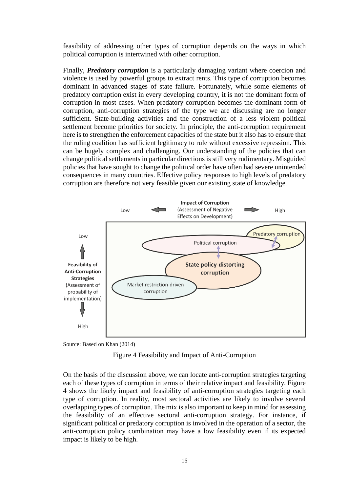feasibility of addressing other types of corruption depends on the ways in which political corruption is intertwined with other corruption.

Finally, *Predatory corruption* is a particularly damaging variant where coercion and violence is used by powerful groups to extract rents. This type of corruption becomes dominant in advanced stages of state failure. Fortunately, while some elements of predatory corruption exist in every developing country, it is not the dominant form of corruption in most cases. When predatory corruption becomes the dominant form of corruption, anti-corruption strategies of the type we are discussing are no longer sufficient. State-building activities and the construction of a less violent political settlement become priorities for society. In principle, the anti-corruption requirement here is to strengthen the enforcement capacities of the state but it also has to ensure that the ruling coalition has sufficient legitimacy to rule without excessive repression. This can be hugely complex and challenging. Our understanding of the policies that can change political settlements in particular directions is still very rudimentary. Misguided policies that have sought to change the political order have often had severe unintended consequences in many countries. Effective policy responses to high levels of predatory corruption are therefore not very feasible given our existing state of knowledge.



<span id="page-15-0"></span>Source: Based on Khan (2014)



On the basis of the discussion above, we can locate anti-corruption strategies targeting each of these types of corruption in terms of their relative impact and feasibility. [Figure](#page-15-0)  [4](#page-15-0) shows the likely impact and feasibility of anti-corruption strategies targeting each type of corruption. In reality, most sectoral activities are likely to involve several overlapping types of corruption. The mix is also important to keep in mind for assessing the feasibility of an effective sectoral anti-corruption strategy. For instance, if significant political or predatory corruption is involved in the operation of a sector, the anti-corruption policy combination may have a low feasibility even if its expected impact is likely to be high.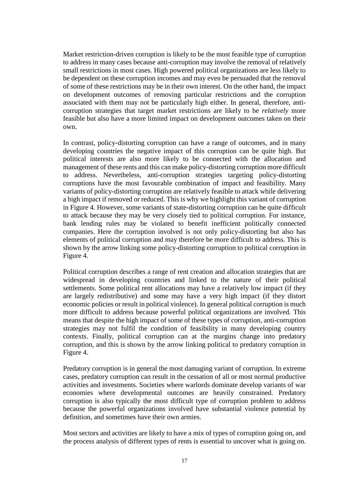Market restriction-driven corruption is likely to be the most feasible type of corruption to address in many cases because anti-corruption may involve the removal of relatively small restrictions in most cases. High powered political organizations are less likely to be dependent on these corruption incomes and may even be persuaded that the removal of some of these restrictions may be in their own interest. On the other hand, the impact on development outcomes of removing particular restrictions and the corruption associated with them may not be particularly high either. In general, therefore, anticorruption strategies that target market restrictions are likely to be *relatively* more feasible but also have a more limited impact on development outcomes taken on their own.

In contrast, policy-distorting corruption can have a range of outcomes, and in many developing countries the negative impact of this corruption can be quite high. But political interests are also more likely to be connected with the allocation and management of these rents and this can make policy-distorting corruption more difficult to address. Nevertheless, anti-corruption strategies targeting policy-distorting corruptions have the most favourable combination of impact and feasibility. Many variants of policy-distorting corruption are relatively feasible to attack while delivering a high impact if removed or reduced. This is why we highlight this variant of corruption in [Figure 4.](#page-15-0) However, some variants of state-distorting corruption can be quite difficult to attack because they may be very closely tied to political corruption. For instance, bank lending rules may be violated to benefit inefficient politically connected companies. Here the corruption involved is not only policy-distorting but also has elements of political corruption and may therefore be more difficult to address. This is shown by the arrow linking some policy-distorting corruption to political corruption in [Figure 4.](#page-15-0)

Political corruption describes a range of rent creation and allocation strategies that are widespread in developing countries and linked to the nature of their political settlements. Some political rent allocations may have a relatively low impact (if they are largely redistributive) and some may have a very high impact (if they distort economic policies or result in political violence). In general political corruption is much more difficult to address because powerful political organizations are involved. This means that despite the high impact of some of these types of corruption, anti-corruption strategies may not fulfil the condition of feasibility in many developing country contexts. Finally, political corruption can at the margins change into predatory corruption, and this is shown by the arrow linking political to predatory corruption in [Figure 4.](#page-15-0)

Predatory corruption is in general the most damaging variant of corruption. In extreme cases, predatory corruption can result in the cessation of all or most normal productive activities and investments. Societies where warlords dominate develop variants of war economies where developmental outcomes are heavily constrained. Predatory corruption is also typically the most difficult type of corruption problem to address because the powerful organizations involved have substantial violence potential by definition, and sometimes have their own armies.

Most sectors and activities are likely to have a mix of types of corruption going on, and the process analysis of different types of rents is essential to uncover what is going on.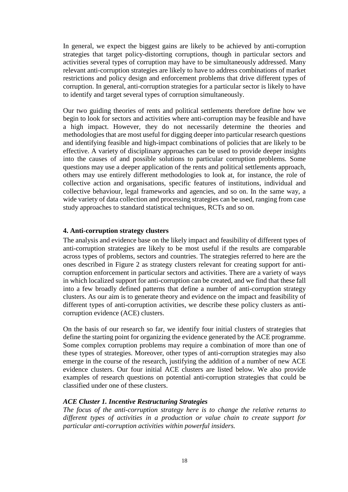In general, we expect the biggest gains are likely to be achieved by anti-corruption strategies that target policy-distorting corruptions, though in particular sectors and activities several types of corruption may have to be simultaneously addressed. Many relevant anti-corruption strategies are likely to have to address combinations of market restrictions and policy design and enforcement problems that drive different types of corruption. In general, anti-corruption strategies for a particular sector is likely to have to identify and target several types of corruption simultaneously.

Our two guiding theories of rents and political settlements therefore define how we begin to look for sectors and activities where anti-corruption may be feasible and have a high impact. However, they do not necessarily determine the theories and methodologies that are most useful for digging deeper into particular research questions and identifying feasible and high-impact combinations of policies that are likely to be effective. A variety of disciplinary approaches can be used to provide deeper insights into the causes of and possible solutions to particular corruption problems. Some questions may use a deeper application of the rents and political settlements approach, others may use entirely different methodologies to look at, for instance, the role of collective action and organisations, specific features of institutions, individual and collective behaviour, legal frameworks and agencies, and so on. In the same way, a wide variety of data collection and processing strategies can be used, ranging from case study approaches to standard statistical techniques, RCTs and so on.

#### **4. Anti-corruption strategy clusters**

The analysis and evidence base on the likely impact and feasibility of different types of anti-corruption strategies are likely to be most useful if the results are comparable across types of problems, sectors and countries. The strategies referred to here are the ones described in [Figure 2](#page-11-0) as strategy clusters relevant for creating support for anticorruption enforcement in particular sectors and activities. There are a variety of ways in which localized support for anti-corruption can be created, and we find that these fall into a few broadly defined patterns that define a number of anti-corruption strategy clusters. As our aim is to generate theory and evidence on the impact and feasibility of different types of anti-corruption activities, we describe these policy clusters as anticorruption evidence (ACE) clusters.

On the basis of our research so far, we identify four initial clusters of strategies that define the starting point for organizing the evidence generated by the ACE programme. Some complex corruption problems may require a combination of more than one of these types of strategies. Moreover, other types of anti-corruption strategies may also emerge in the course of the research, justifying the addition of a number of new ACE evidence clusters. Our four initial ACE clusters are listed below. We also provide examples of research questions on potential anti-corruption strategies that could be classified under one of these clusters.

#### *ACE Cluster 1. Incentive Restructuring Strategies*

*The focus of the anti-corruption strategy here is to change the relative returns to different types of activities in a production or value chain to create support for particular anti-corruption activities within powerful insiders.*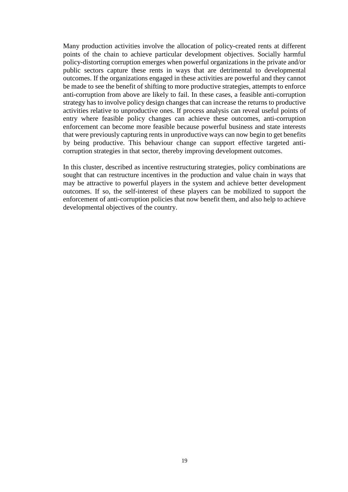Many production activities involve the allocation of policy-created rents at different points of the chain to achieve particular development objectives. Socially harmful policy-distorting corruption emerges when powerful organizations in the private and/or public sectors capture these rents in ways that are detrimental to developmental outcomes. If the organizations engaged in these activities are powerful and they cannot be made to see the benefit of shifting to more productive strategies, attempts to enforce anti-corruption from above are likely to fail. In these cases, a feasible anti-corruption strategy has to involve policy design changes that can increase the returns to productive activities relative to unproductive ones. If process analysis can reveal useful points of entry where feasible policy changes can achieve these outcomes, anti-corruption enforcement can become more feasible because powerful business and state interests that were previously capturing rents in unproductive ways can now begin to get benefits by being productive. This behaviour change can support effective targeted anticorruption strategies in that sector, thereby improving development outcomes.

In this cluster, described as incentive restructuring strategies, policy combinations are sought that can restructure incentives in the production and value chain in ways that may be attractive to powerful players in the system and achieve better development outcomes. If so, the self-interest of these players can be mobilized to support the enforcement of anti-corruption policies that now benefit them, and also help to achieve developmental objectives of the country.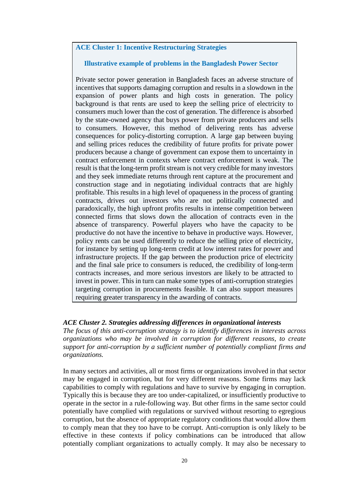## **ACE Cluster 1: Incentive Restructuring Strategies**

## **Illustrative example of problems in the Bangladesh Power Sector**

Private sector power generation in Bangladesh faces an adverse structure of incentives that supports damaging corruption and results in a slowdown in the expansion of power plants and high costs in generation. The policy background is that rents are used to keep the selling price of electricity to consumers much lower than the cost of generation. The difference is absorbed by the state-owned agency that buys power from private producers and sells to consumers. However, this method of delivering rents has adverse consequences for policy-distorting corruption. A large gap between buying and selling prices reduces the credibility of future profits for private power producers because a change of government can expose them to uncertainty in contract enforcement in contexts where contract enforcement is weak. The result is that the long-term profit stream is not very credible for many investors and they seek immediate returns through rent capture at the procurement and construction stage and in negotiating individual contracts that are highly profitable. This results in a high level of opaqueness in the process of granting contracts, drives out investors who are not politically connected and paradoxically, the high upfront profits results in intense competition between connected firms that slows down the allocation of contracts even in the absence of transparency. Powerful players who have the capacity to be productive do not have the incentive to behave in productive ways. However, policy rents can be used differently to reduce the selling price of electricity, for instance by setting up long-term credit at low interest rates for power and infrastructure projects. If the gap between the production price of electricity and the final sale price to consumers is reduced, the credibility of long-term contracts increases, and more serious investors are likely to be attracted to invest in power. This in turn can make some types of anti-corruption strategies targeting corruption in procurements feasible. It can also support measures requiring greater transparency in the awarding of contracts.

## *ACE Cluster 2. Strategies addressing differences in organizational interests*

*The focus of this anti-corruption strategy is to identify differences in interests across organizations who may be involved in corruption for different reasons, to create support for anti-corruption by a sufficient number of potentially compliant firms and organizations.* 

In many sectors and activities, all or most firms or organizations involved in that sector may be engaged in corruption, but for very different reasons. Some firms may lack capabilities to comply with regulations and have to survive by engaging in corruption. Typically this is because they are too under-capitalized, or insufficiently productive to operate in the sector in a rule-following way. But other firms in the same sector could potentially have complied with regulations or survived without resorting to egregious corruption, but the absence of appropriate regulatory conditions that would allow them to comply mean that they too have to be corrupt. Anti-corruption is only likely to be effective in these contexts if policy combinations can be introduced that allow potentially compliant organizations to actually comply. It may also be necessary to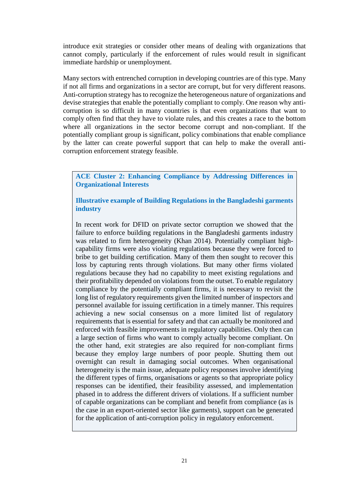introduce exit strategies or consider other means of dealing with organizations that cannot comply, particularly if the enforcement of rules would result in significant immediate hardship or unemployment.

Many sectors with entrenched corruption in developing countries are of this type. Many if not all firms and organizations in a sector are corrupt, but for very different reasons. Anti-corruption strategy has to recognize the heterogeneous nature of organizations and devise strategies that enable the potentially compliant to comply. One reason why anticorruption is so difficult in many countries is that even organizations that want to comply often find that they have to violate rules, and this creates a race to the bottom where all organizations in the sector become corrupt and non-compliant. If the potentially compliant group is significant, policy combinations that enable compliance by the latter can create powerful support that can help to make the overall anticorruption enforcement strategy feasible.

**ACE Cluster 2: Enhancing Compliance by Addressing Differences in Organizational Interests** 

**Illustrative example of Building Regulations in the Bangladeshi garments industry** 

In recent work for DFID on private sector corruption we showed that the failure to enforce building regulations in the Bangladeshi garments industry was related to firm heterogeneity (Khan 2014). Potentially compliant highcapability firms were also violating regulations because they were forced to bribe to get building certification. Many of them then sought to recover this loss by capturing rents through violations. But many other firms violated regulations because they had no capability to meet existing regulations and their profitability depended on violations from the outset. To enable regulatory compliance by the potentially compliant firms, it is necessary to revisit the long list of regulatory requirements given the limited number of inspectors and personnel available for issuing certification in a timely manner. This requires achieving a new social consensus on a more limited list of regulatory requirements that is essential for safety and that can actually be monitored and enforced with feasible improvements in regulatory capabilities. Only then can a large section of firms who want to comply actually become compliant. On the other hand, exit strategies are also required for non-compliant firms because they employ large numbers of poor people. Shutting them out overnight can result in damaging social outcomes. When organisational heterogeneity is the main issue, adequate policy responses involve identifying the different types of firms, organisations or agents so that appropriate policy responses can be identified, their feasibility assessed, and implementation phased in to address the different drivers of violations. If a sufficient number of capable organizations can be compliant and benefit from compliance (as is the case in an export-oriented sector like garments), support can be generated for the application of anti-corruption policy in regulatory enforcement.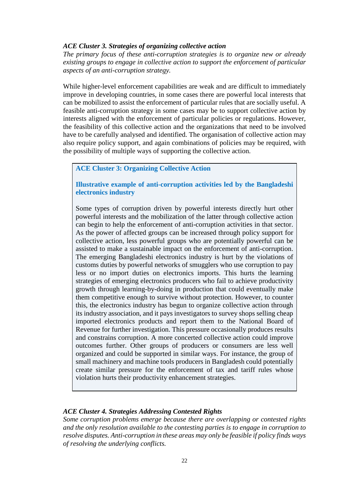## *ACE Cluster 3. Strategies of organizing collective action*

*The primary focus of these anti-corruption strategies is to organize new or already existing groups to engage in collective action to support the enforcement of particular aspects of an anti-corruption strategy.* 

While higher-level enforcement capabilities are weak and are difficult to immediately improve in developing countries, in some cases there are powerful local interests that can be mobilized to assist the enforcement of particular rules that are socially useful. A feasible anti-corruption strategy in some cases may be to support collective action by interests aligned with the enforcement of particular policies or regulations. However, the feasibility of this collective action and the organizations that need to be involved have to be carefully analysed and identified. The organisation of collective action may also require policy support, and again combinations of policies may be required, with the possibility of multiple ways of supporting the collective action.

## **ACE Cluster 3: Organizing Collective Action**

# **Illustrative example of anti-corruption activities led by the Bangladeshi electronics industry**

Some types of corruption driven by powerful interests directly hurt other powerful interests and the mobilization of the latter through collective action can begin to help the enforcement of anti-corruption activities in that sector. As the power of affected groups can be increased through policy support for collective action, less powerful groups who are potentially powerful can be assisted to make a sustainable impact on the enforcement of anti-corruption. The emerging Bangladeshi electronics industry is hurt by the violations of customs duties by powerful networks of smugglers who use corruption to pay less or no import duties on electronics imports. This hurts the learning strategies of emerging electronics producers who fail to achieve productivity growth through learning-by-doing in production that could eventually make them competitive enough to survive without protection. However, to counter this, the electronics industry has begun to organize collective action through its industry association, and it pays investigators to survey shops selling cheap imported electronics products and report them to the National Board of Revenue for further investigation. This pressure occasionally produces results and constrains corruption. A more concerted collective action could improve outcomes further. Other groups of producers or consumers are less well organized and could be supported in similar ways. For instance, the group of small machinery and machine tools producers in Bangladesh could potentially create similar pressure for the enforcement of tax and tariff rules whose violation hurts their productivity enhancement strategies.

## *ACE Cluster 4. Strategies Addressing Contested Rights*

*Some corruption problems emerge because there are overlapping or contested rights and the only resolution available to the contesting parties is to engage in corruption to resolve disputes. Anti-corruption in these areas may only be feasible if policy finds ways of resolving the underlying conflicts.*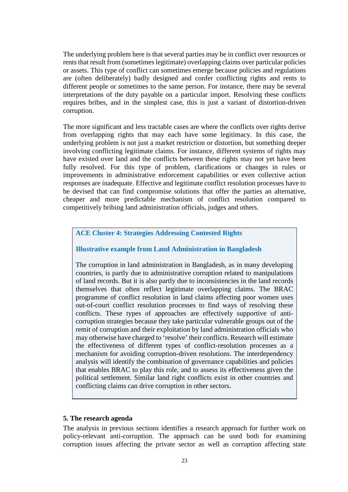The underlying problem here is that several parties may be in conflict over resources or rents that result from (sometimes legitimate) overlapping claims over particular policies or assets. This type of conflict can sometimes emerge because policies and regulations are (often deliberately) badly designed and confer conflicting rights and rents to different people or sometimes to the same person. For instance, there may be several interpretations of the duty payable on a particular import. Resolving these conflicts requires bribes, and in the simplest case, this is just a variant of distortion-driven corruption.

The more significant and less tractable cases are where the conflicts over rights derive from overlapping rights that may each have some legitimacy. In this case, the underlying problem is not just a market restriction or distortion, but something deeper involving conflicting legitimate claims. For instance, different systems of rights may have existed over land and the conflicts between these rights may not yet have been fully resolved. For this type of problem, clarifications or changes in rules or improvements in administrative enforcement capabilities or even collective action responses are inadequate. Effective and legitimate conflict resolution processes have to be devised that can find compromise solutions that offer the parties an alternative, cheaper and more predictable mechanism of conflict resolution compared to competitively bribing land administration officials, judges and others.

## **ACE Cluster 4: Strategies Addressing Contested Rights**

#### **Illustrative example from Land Administration in Bangladesh**

The corruption in land administration in Bangladesh, as in many developing countries, is partly due to administrative corruption related to manipulations of land records. But it is also partly due to inconsistencies in the land records themselves that often reflect legitimate overlapping claims. The BRAC programme of conflict resolution in land claims affecting poor women uses out-of-court conflict resolution processes to find ways of resolving these conflicts. These types of approaches are effectively supportive of anticorruption strategies because they take particular vulnerable groups out of the remit of corruption and their exploitation by land administration officials who may otherwise have charged to 'resolve' their conflicts. Research will estimate the effectiveness of different types of conflict-resolution processes as a mechanism for avoiding corruption-driven resolutions. The interdependency analysis will identify the combination of governance capabilities and policies that enables BRAC to play this role, and to assess its effectiveness given the political settlement. Similar land right conflicts exist in other countries and conflicting claims can drive corruption in other sectors.

#### **5. The research agenda**

The analysis in previous sections identifies a research approach for further work on policy-relevant anti-corruption. The approach can be used both for examining corruption issues affecting the private sector as well as corruption affecting state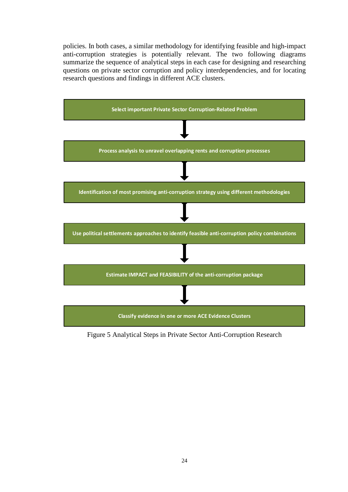policies. In both cases, a similar methodology for identifying feasible and high-impact anti-corruption strategies is potentially relevant. The two following diagrams summarize the sequence of analytical steps in each case for designing and researching questions on private sector corruption and policy interdependencies, and for locating research questions and findings in different ACE clusters.



Figure 5 Analytical Steps in Private Sector Anti-Corruption Research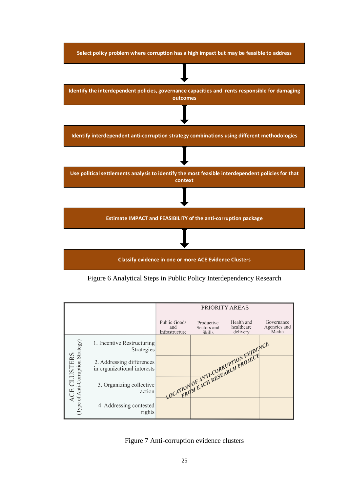

Figure 6 Analytical Steps in Public Policy Interdependency Research



<span id="page-24-0"></span>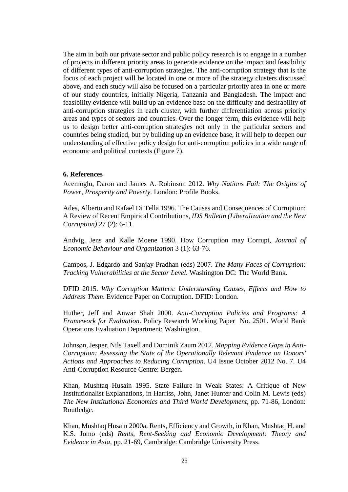The aim in both our private sector and public policy research is to engage in a number of projects in different priority areas to generate evidence on the impact and feasibility of different types of anti-corruption strategies. The anti-corruption strategy that is the focus of each project will be located in one or more of the strategy clusters discussed above, and each study will also be focused on a particular priority area in one or more of our study countries, initially Nigeria, Tanzania and Bangladesh. The impact and feasibility evidence will build up an evidence base on the difficulty and desirability of anti-corruption strategies in each cluster, with further differentiation across priority areas and types of sectors and countries. Over the longer term, this evidence will help us to design better anti-corruption strategies not only in the particular sectors and countries being studied, but by building up an evidence base, it will help to deepen our understanding of effective policy design for anti-corruption policies in a wide range of economic and political contexts [\(Figure 7\)](#page-24-0).

#### **6. References**

Acemoglu, Daron and James A. Robinson 2012. *Why Nations Fail: The Origins of Power, Prosperity and Poverty*. London: Profile Books.

Ades, Alberto and Rafael Di Tella 1996. The Causes and Consequences of Corruption: A Review of Recent Empirical Contributions, *IDS Bulletin (Liberalization and the New Corruption)* 27 (2): 6-11.

Andvig, Jens and Kalle Moene 1990. How Corruption may Corrupt, *Journal of Economic Behaviour and Organization* 3 (1): 63-76.

Campos, J. Edgardo and Sanjay Pradhan (eds) 2007. *The Many Faces of Corruption: Tracking Vulnerabilities at the Sector Level*. Washington DC: The World Bank.

DFID 2015. *Why Corruption Matters: Understanding Causes, Effects and How to Address Them*. Evidence Paper on Corruption. DFID: London.

Huther, Jeff and Anwar Shah 2000. *Anti-Corruption Policies and Programs: A Framework for Evaluation*. Policy Research Working Paper No. 2501. World Bank Operations Evaluation Department: Washington.

Johnsøn, Jesper, Nils Taxell and Dominik Zaum 2012. *Mapping Evidence Gaps in Anti-Corruption: Assessing the State of the Operationally Relevant Evidence on Donors' Actions and Approaches to Reducing Corruption*. U4 Issue October 2012 No. 7. U4 Anti-Corruption Resource Centre: Bergen.

Khan, Mushtaq Husain 1995. State Failure in Weak States: A Critique of New Institutionalist Explanations, in Harriss, John, Janet Hunter and Colin M. Lewis (eds) *The New Institutional Economics and Third World Development*, pp. 71-86, London: Routledge.

Khan, Mushtaq Husain 2000a. Rents, Efficiency and Growth, in Khan, Mushtaq H. and K.S. Jomo (eds) *Rents, Rent-Seeking and Economic Development: Theory and Evidence in Asia*, pp. 21-69, Cambridge: Cambridge University Press.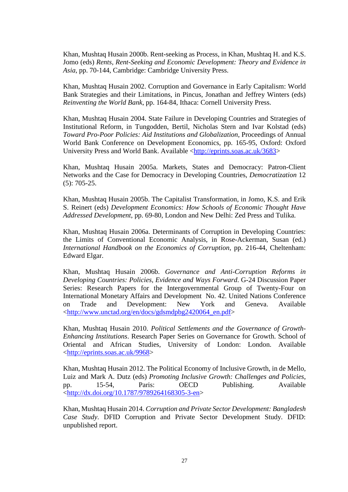Khan, Mushtaq Husain 2000b. Rent-seeking as Process, in Khan, Mushtaq H. and K.S. Jomo (eds) *Rents, Rent-Seeking and Economic Development: Theory and Evidence in Asia*, pp. 70-144, Cambridge: Cambridge University Press.

Khan, Mushtaq Husain 2002. Corruption and Governance in Early Capitalism: World Bank Strategies and their Limitations, in Pincus, Jonathan and Jeffrey Winters (eds) *Reinventing the World Bank*, pp. 164-84, Ithaca: Cornell University Press.

Khan, Mushtaq Husain 2004. State Failure in Developing Countries and Strategies of Institutional Reform, in Tungodden, Bertil, Nicholas Stern and Ivar Kolstad (eds) *Toward Pro-Poor Policies: Aid Institutions and Globalization*, Proceedings of Annual World Bank Conference on Development Economics, pp. 165-95, Oxford: Oxford University Press and World Bank. Available [<http://eprints.soas.ac.uk/3683>](http://eprints.soas.ac.uk/3683)

Khan, Mushtaq Husain 2005a. Markets, States and Democracy: Patron-Client Networks and the Case for Democracy in Developing Countries, *Democratization* 12 (5): 705-25.

Khan, Mushtaq Husain 2005b. The Capitalist Transformation, in Jomo, K.S. and Erik S. Reinert (eds) *Development Economics: How Schools of Economic Thought Have Addressed Development*, pp. 69-80, London and New Delhi: Zed Press and Tulika.

Khan, Mushtaq Husain 2006a. Determinants of Corruption in Developing Countries: the Limits of Conventional Economic Analysis, in Rose-Ackerman, Susan (ed.) *International Handbook on the Economics of Corruption*, pp. 216-44, Cheltenham: Edward Elgar.

Khan, Mushtaq Husain 2006b. *Governance and Anti-Corruption Reforms in Developing Countries: Policies, Evidence and Ways Forward*. G-24 Discussion Paper Series: Research Papers for the Intergovernmental Group of Twenty-Four on International Monetary Affairs and Development No. 42. United Nations Conference on Trade and Development: New York and Geneva. Available [<http://www.unctad.org/en/docs/gdsmdpbg2420064\\_en.pdf>](http://www.unctad.org/en/docs/gdsmdpbg2420064_en.pdf)

Khan, Mushtaq Husain 2010. *Political Settlements and the Governance of Growth-Enhancing Institutions*. Research Paper Series on Governance for Growth. School of Oriental and African Studies, University of London: London. Available [<http://eprints.soas.ac.uk/9968>](http://eprints.soas.ac.uk/9968)

Khan, Mushtaq Husain 2012. The Political Economy of Inclusive Growth, in de Mello, Luiz and Mark A. Dutz (eds) *Promoting Inclusive Growth: Challenges and Policies*, pp. 15-54, Paris: OECD Publishing. Available [<http://dx.doi.org/10.1787/9789264168305-3-en>](http://dx.doi.org/10.1787/9789264168305-3-en)

Khan, Mushtaq Husain 2014. *Corruption and Private Sector Development: Bangladesh Case Study*. DFID Corruption and Private Sector Development Study. DFID: unpublished report.